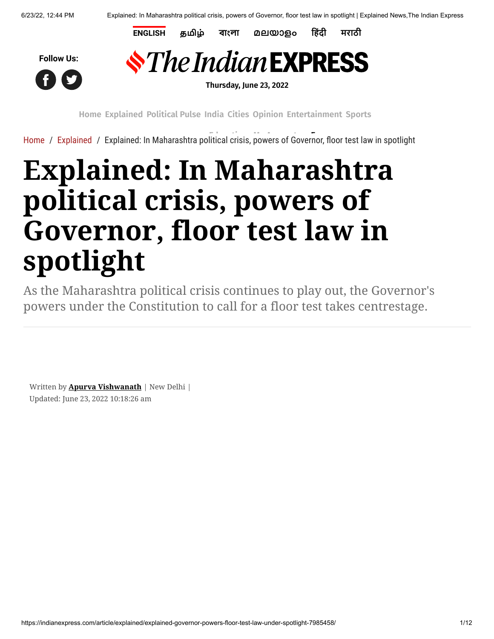**[ENGLISH](https://indianexpress.com/) [தமிழ்](https://tamil.indianexpress.com/) [বাংলা](https://bengali.indianexpress.com/) [മലയാളം](https://malayalam.indianexpress.com/) [हिंदी](https://www.jansatta.com/) [मराठी](https://www.loksatta.com/)**





**Thursday, June 23, 2022**

**[Home](https://indianexpress.com/) [Explained](https://indianexpress.com/section/explained/) [Political](https://indianexpress.com/section/political-pulse/) Pulse [India](https://indianexpress.com/section/india/) [Cities](https://indianexpress.com/section/cities/) [Opinion](https://indianexpress.com/section/opinion/) [Entertainment](https://indianexpress.com/section/entertainment/) [Sports](https://indianexpress.com/section/sports/)**

[Home](https://indianexpress.com/) / [Explained](https://indianexpress.com/section/explained/) / [Explained: In Maharashtra po](https://pubads.g.doubleclick.net/gampad/clk?id=6027058703&iu=/1050432/Clk_Trk_1x1_IE)litical crisis, [powers of Go](https://indianexpress.com/my-account/)[vernor, floor t](https://indianexpress.com/express-plus/today-newsstand/)est law in spotlight

## **Explained: In Maharashtra political crisis, powers of Governor, floor test law in spotlight**

As the Maharashtra political crisis continues to play out, the Governor's powers under the Constitution to call for a floor test takes centrestage.

Written by **[Apurva Vishwanath](https://indianexpress.com/profile/author/apurva-vishwanath/)** | New Delhi | Updated: June 23, 2022 10:18:26 am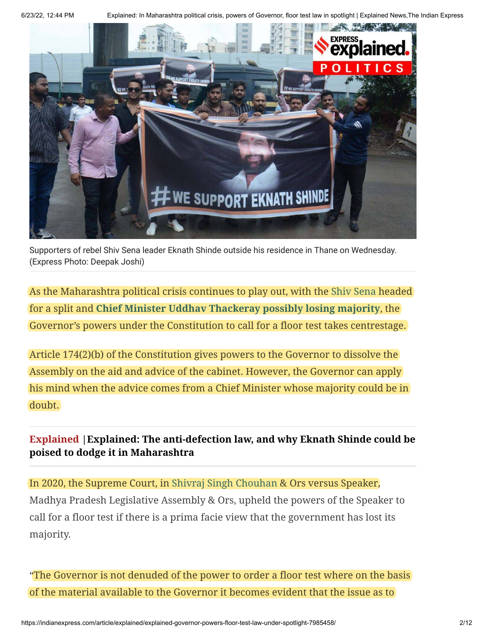6/23/22, 12:44 PM Explained: In Maharashtra political crisis, powers of Governor, floor test law in spotlight | Explained News,The Indian Express



Supporters of rebel Shiv Sena leader Eknath Shinde outside his residence in Thane on Wednesday. (Express Photo: Deepak Joshi)

As the Maharashtra political crisis continues to play out, with the [Shiv Sena](https://indianexpress.com/about/shiv-sena/) headed for a split and **[Chief Minister Uddhav Thackeray possibly losing majority](https://indianexpress.com/article/political-pulse/maharashtra-govt-mva-uddhav-thackeray-mlas-discontent-political-crisis-7983020/)**, the Governor's powers under the Constitution to call for a floor test takes centrestage.

Article 174(2)(b) of the Constitution gives powers to the Governor to dissolve the Assembly on the aid and advice of the cabinet. However, the Governor can apply his mind when the advice comes from a Chief Minister whose majority could be in doubt.

**[Explained |Explained: The anti-defection law, and why Eknath Shinde could be](https://indianexpress.com/article/explained/eknath-shinde-maharashtra-political-crisis-anti-defection-law-explained-7984004/) poised to dodge it in Maharashtra**

In 2020, the Supreme Court, in [Shivraj Singh Chouhan](https://indianexpress.com/article/research/shivraj-singh-chouhan-profile-5487054/) & Ors versus Speaker, Madhya Pradesh Legislative Assembly & Ors, upheld the powers of the Speaker to call for a floor test if there is a prima facie view that the government has lost its majority.

"The Governor is not denuded of the power to order a floor test where on the basis of the material available to the Governor it becomes evident that the issue as to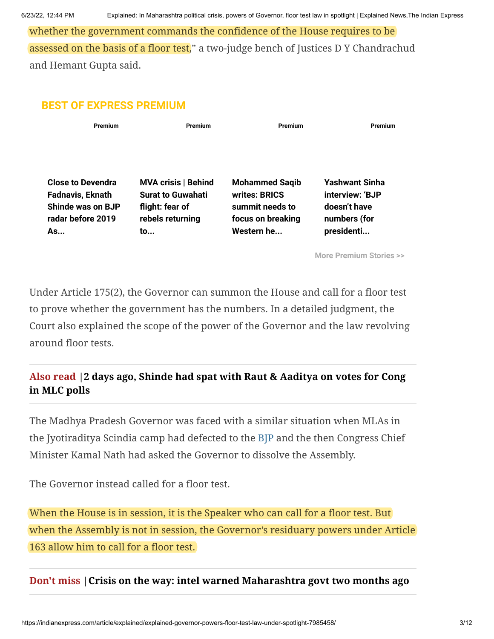whether the government commands the confidence of the House requires to be assessed on the basis of a floor test," a two-judge bench of Justices D Y Chandrachud and Hemant Gupta said.

## **BEST OF EXPRESS PREMIUM**

| Premium                                                                                       | Premium                                                                   | Premium                                                                        | Premium                                                  |
|-----------------------------------------------------------------------------------------------|---------------------------------------------------------------------------|--------------------------------------------------------------------------------|----------------------------------------------------------|
| <b>Close to Devendra</b><br><b>Fadnavis, Eknath</b><br>Shinde was on BJP<br>radar before 2019 | <b>MVA crisis   Behind</b><br><b>Surat to Guwahati</b><br>flight: fear of | <b>Mohammed Saqib</b><br>writes: BRICS<br>summit needs to<br>focus on breaking | <b>Yashwant Sinha</b><br>interview: 'BJP<br>doesn't have |
| As                                                                                            | rebels returning<br>to                                                    | Western he                                                                     | numbers (for<br>presidenti                               |

**[More Premium Stories >>](https://indianexpress.com/about/express-premium/)**

Under Article 175(2), the Governor can summon the House and call for a floor test to prove whether the government has the numbers. In a detailed judgment, the Court also explained the scope of the power of the Governor and the law revolving around floor tests.

## **[Also read |2 days ago, Shinde had spat with Raut & Aaditya on votes for Cong](https://indianexpress.com/article/cities/mumbai/two-days-ago-shinde-had-spat-with-raut-aaditya-votes-cong-mlc-polls-7983148/) in MLC polls**

The Madhya Pradesh Governor was faced with a similar situation when MLAs in the Jyotiraditya Scindia camp had defected to the [BJP](https://indianexpress.com/about/bjp/) and the then Congress Chief Minister Kamal Nath had asked the Governor to dissolve the Assembly.

The Governor instead called for a floor test.

When the House is in session, it is the Speaker who can call for a floor test. But when the Assembly is not in session, the Governor's residuary powers under Article 163 allow him to call for a floor test.

## **Don't miss [|Crisis on the way: intel warned Maharashtra govt two months ago](https://indianexpress.com/article/cities/mumbai/sid-gave-confidential-info-to-maharashtra-govt-on-impending-crisis-two-months-ago-7983137/)**